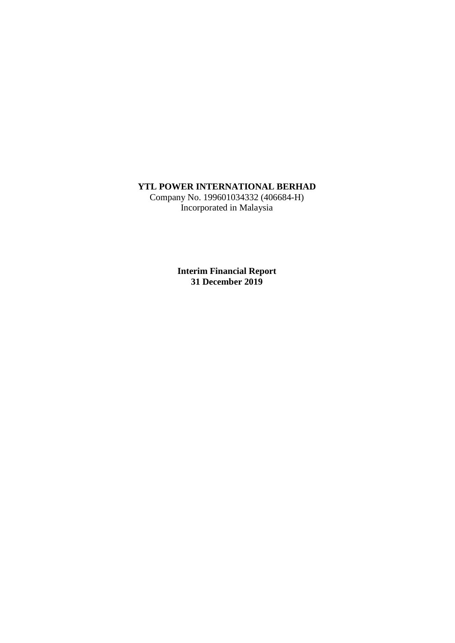# **YTL POWER INTERNATIONAL BERHAD**

Company No. 199601034332 (406684-H) Incorporated in Malaysia

> **Interim Financial Report 31 December 2019**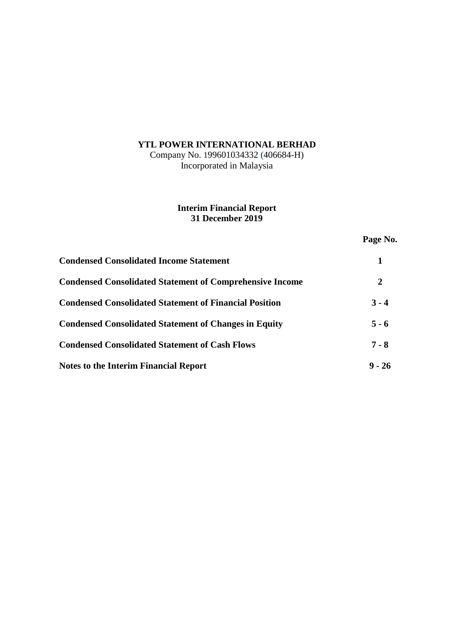# **YTL POWER INTERNATIONAL BERHAD**

Company No. 199601034332 (406684-H) Incorporated in Malaysia

## **Interim Financial Report 31 December 2019**

# **Page No.**

| <b>Condensed Consolidated Income Statement</b>                  |          |
|-----------------------------------------------------------------|----------|
| <b>Condensed Consolidated Statement of Comprehensive Income</b> | 2        |
| <b>Condensed Consolidated Statement of Financial Position</b>   | $3 - 4$  |
| <b>Condensed Consolidated Statement of Changes in Equity</b>    | $5 - 6$  |
| <b>Condensed Consolidated Statement of Cash Flows</b>           | $7 - 8$  |
| <b>Notes to the Interim Financial Report</b>                    | $9 - 26$ |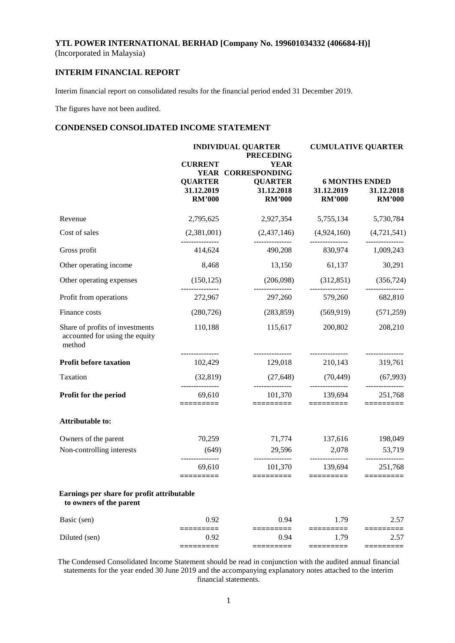## **INTERIM FINANCIAL REPORT**

Interim financial report on consolidated results for the financial period ended 31 December 2019.

The figures have not been audited.

## **CONDENSED CONSOLIDATED INCOME STATEMENT**

|                                                                             |                             | <b>INDIVIDUAL QUARTER</b><br><b>PRECEDING</b> | <b>CUMULATIVE QUARTER</b>           |                             |  |
|-----------------------------------------------------------------------------|-----------------------------|-----------------------------------------------|-------------------------------------|-----------------------------|--|
|                                                                             | <b>CURRENT</b>              | <b>YEAR</b><br>YEAR CORRESPONDING             |                                     |                             |  |
|                                                                             | <b>QUARTER</b>              | <b>QUARTER</b>                                | <b>6 MONTHS ENDED</b>               |                             |  |
|                                                                             | 31.12.2019<br><b>RM'000</b> | 31.12.2018<br><b>RM'000</b>                   | 31.12.2019<br><b>RM'000</b>         | 31.12.2018<br><b>RM'000</b> |  |
| Revenue                                                                     | 2,795,625                   |                                               | 2,927,354 5,755,134 5,730,784       |                             |  |
| Cost of sales                                                               | (2,381,001)                 | $(2,437,146)$ $(4,924,160)$ $(4,721,541)$     |                                     |                             |  |
| Gross profit                                                                | 414,624                     |                                               | 490,208 830,974 1,009,243           |                             |  |
| Other operating income                                                      | 8,468                       | 13,150                                        | 61,137                              | 30,291                      |  |
| Other operating expenses                                                    | (150, 125)                  |                                               | $(206,098)$ $(312,851)$ $(356,724)$ |                             |  |
| Profit from operations                                                      | 272,967                     |                                               | 297,260 579,260                     | 682,810                     |  |
| Finance costs                                                               | (280, 726)                  |                                               | $(283,859)$ $(569,919)$ $(571,259)$ |                             |  |
| Share of profits of investments<br>accounted for using the equity<br>method | 110,188                     | 115,617                                       | 200,802                             | 208,210                     |  |
| <b>Profit before taxation</b>                                               | 102,429                     |                                               | 129,018 210,143 319,761             |                             |  |
| Taxation                                                                    | (32, 819)                   | (27, 648)                                     | (70, 449)                           | (67, 993)                   |  |
| Profit for the period                                                       | 69,610<br>:========         | 101,370<br>=========                          | 139,694<br>=========                | 251,768                     |  |
| <b>Attributable to:</b>                                                     |                             |                                               |                                     |                             |  |
| Owners of the parent                                                        | 70,259                      | 71,774                                        | 137,616                             | 198,049                     |  |
| Non-controlling interests                                                   | (649)                       | 29,596<br>---------------                     | 2,078<br>---------------            | 53,719                      |  |
|                                                                             | 69,610<br>=========         | 101,370                                       | 139,694<br>$=$ ========             | 251,768<br>$=$ =========    |  |
| Earnings per share for profit attributable<br>to owners of the parent       |                             |                                               |                                     |                             |  |
| Basic (sen)                                                                 | 0.92                        | 0.94                                          | 1.79                                | 2.57                        |  |
| Diluted (sen)                                                               | ====<br>0.92                | 0.94                                          | 1.79                                | 2.57                        |  |
|                                                                             | ⋍≡≡≡≡≡                      | ======                                        | =========                           | =====                       |  |

The Condensed Consolidated Income Statement should be read in conjunction with the audited annual financial statements for the year ended 30 June 2019 and the accompanying explanatory notes attached to the interim financial statements.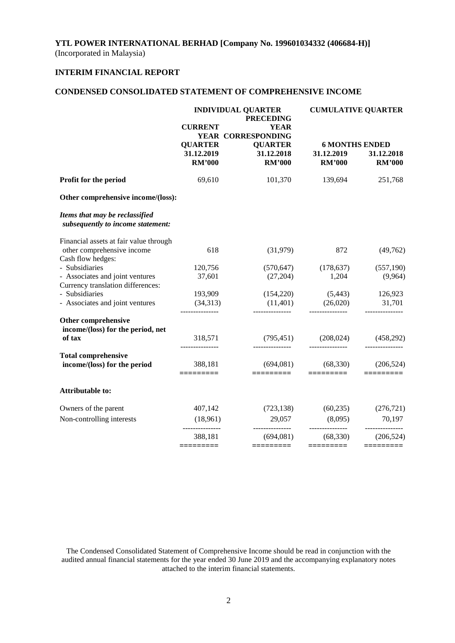## **INTERIM FINANCIAL REPORT**

## **CONDENSED CONSOLIDATED STATEMENT OF COMPREHENSIVE INCOME**

|                                                                     | <b>INDIVIDUAL QUARTER</b><br><b>PRECEDING</b> |                                                  |                             | <b>CUMULATIVE QUARTER</b>                            |
|---------------------------------------------------------------------|-----------------------------------------------|--------------------------------------------------|-----------------------------|------------------------------------------------------|
|                                                                     | <b>CURRENT</b>                                | <b>YEAR</b><br>YEAR CORRESPONDING                |                             |                                                      |
|                                                                     | <b>QUARTER</b><br>31.12.2019<br><b>RM'000</b> | <b>QUARTER</b><br>31.12.2018<br><b>RM'000</b>    | 31.12.2019<br><b>RM'000</b> | <b>6 MONTHS ENDED</b><br>31.12.2018<br><b>RM'000</b> |
| Profit for the period                                               | 69,610                                        | 101,370                                          | 139,694                     | 251,768                                              |
| Other comprehensive income/(loss):                                  |                                               |                                                  |                             |                                                      |
| Items that may be reclassified<br>subsequently to income statement: |                                               |                                                  |                             |                                                      |
| Financial assets at fair value through                              |                                               |                                                  |                             |                                                      |
| other comprehensive income<br>Cash flow hedges:                     | 618                                           | (31,979)                                         | 872                         | (49,762)                                             |
| - Subsidiaries                                                      | 120,756                                       | (570, 647)                                       | (178, 637)                  | (557,190)                                            |
| - Associates and joint ventures                                     | 37,601                                        | (27,204)                                         | 1,204                       | (9,964)                                              |
| Currency translation differences:                                   |                                               |                                                  |                             |                                                      |
| - Subsidiaries                                                      | 193,909                                       | (154,220)                                        | (5,443)                     | 126,923                                              |
| - Associates and joint ventures                                     | (34,313)                                      | (11,401)                                         | (26,020)                    | 31,701                                               |
| Other comprehensive                                                 |                                               |                                                  |                             |                                                      |
| income/(loss) for the period, net                                   |                                               |                                                  |                             |                                                      |
| of tax                                                              | 318,571<br>---------------                    | (795, 451)                                       | (208, 024)                  | (458,292)                                            |
| <b>Total comprehensive</b>                                          |                                               |                                                  |                             |                                                      |
| income/(loss) for the period                                        | 388,181<br>$=$ =========                      | (694,081)<br>$=$ $=$ $=$ $=$ $=$ $=$ $=$ $=$ $=$ | (68, 330)                   | (206, 524)                                           |
| Attributable to:                                                    |                                               |                                                  |                             |                                                      |
| Owners of the parent                                                | 407,142                                       | (723, 138)                                       | (60, 235)                   | (276, 721)                                           |
| Non-controlling interests                                           | (18,961)                                      | 29,057                                           | (8,095)                     | 70,197                                               |
|                                                                     | 388,181                                       | ---------------<br>(694,081)                     | (68, 330)                   | (206, 524)                                           |
|                                                                     | =========                                     | =========                                        | =========                   |                                                      |

The Condensed Consolidated Statement of Comprehensive Income should be read in conjunction with the audited annual financial statements for the year ended 30 June 2019 and the accompanying explanatory notes attached to the interim financial statements.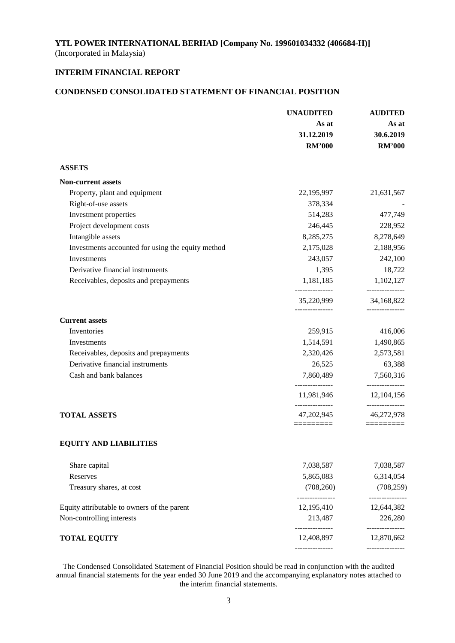## **INTERIM FINANCIAL REPORT**

### **CONDENSED CONSOLIDATED STATEMENT OF FINANCIAL POSITION**

|                                                   | <b>UNAUDITED</b>               | <b>AUDITED</b>                |  |
|---------------------------------------------------|--------------------------------|-------------------------------|--|
|                                                   | As at                          | As at                         |  |
|                                                   | 31.12.2019                     | 30.6.2019                     |  |
|                                                   | <b>RM'000</b>                  | <b>RM'000</b>                 |  |
| <b>ASSETS</b>                                     |                                |                               |  |
| <b>Non-current assets</b>                         |                                |                               |  |
| Property, plant and equipment                     | 22,195,997                     | 21,631,567                    |  |
| Right-of-use assets                               | 378,334                        |                               |  |
| Investment properties                             | 514,283                        | 477,749                       |  |
| Project development costs                         | 246,445                        | 228,952                       |  |
| Intangible assets                                 | 8,285,275                      | 8,278,649                     |  |
| Investments accounted for using the equity method | 2,175,028                      | 2,188,956                     |  |
| Investments                                       | 243,057                        | 242,100                       |  |
| Derivative financial instruments                  | 1,395                          | 18,722                        |  |
| Receivables, deposits and prepayments             | 1,181,185                      | 1,102,127                     |  |
|                                                   | 35,220,999                     | 34,168,822                    |  |
| <b>Current assets</b>                             |                                |                               |  |
| Inventories                                       | 259,915                        | 416,006                       |  |
| Investments                                       | 1,514,591                      | 1,490,865                     |  |
| Receivables, deposits and prepayments             | 2,320,426                      | 2,573,581                     |  |
| Derivative financial instruments                  | 26,525                         | 63,388                        |  |
| Cash and bank balances                            | 7,860,489                      | 7,560,316                     |  |
|                                                   | ---------------<br>11,981,946  | -------------<br>12,104,156   |  |
| <b>TOTAL ASSETS</b>                               | ----------------<br>47,202,945 | ---------------<br>46,272,978 |  |
| <b>EQUITY AND LIABILITIES</b>                     | =========                      | $=$ ========                  |  |
|                                                   |                                |                               |  |
| Share capital                                     | 7,038,587                      | 7,038,587                     |  |
| Reserves                                          | 5,865,083                      | 6,314,054                     |  |
| Treasury shares, at cost                          | (708, 260)                     | (708, 259)                    |  |
| Equity attributable to owners of the parent       | 12,195,410                     | 12,644,382                    |  |
| Non-controlling interests                         | 213,487<br>.                   | 226,280<br>-------------      |  |
| <b>TOTAL EQUITY</b>                               | 12,408,897                     | 12,870,662                    |  |
|                                                   |                                |                               |  |

The Condensed Consolidated Statement of Financial Position should be read in conjunction with the audited annual financial statements for the year ended 30 June 2019 and the accompanying explanatory notes attached to the interim financial statements.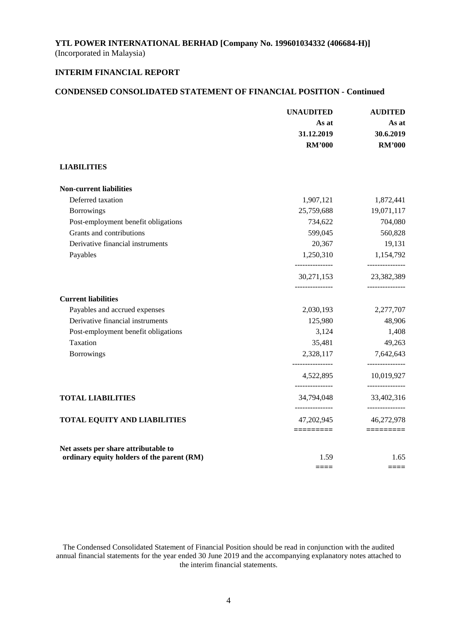## **INTERIM FINANCIAL REPORT**

## **CONDENSED CONSOLIDATED STATEMENT OF FINANCIAL POSITION - Continued**

|                                                                                    | <b>UNAUDITED</b>                    | <b>AUDITED</b><br>As at       |  |
|------------------------------------------------------------------------------------|-------------------------------------|-------------------------------|--|
|                                                                                    | As at                               |                               |  |
|                                                                                    | 31.12.2019                          | 30.6.2019                     |  |
|                                                                                    | <b>RM'000</b>                       | <b>RM'000</b>                 |  |
| <b>LIABILITIES</b>                                                                 |                                     |                               |  |
| <b>Non-current liabilities</b>                                                     |                                     |                               |  |
| Deferred taxation                                                                  | 1,907,121                           | 1,872,441                     |  |
| Borrowings                                                                         | 25,759,688                          | 19,071,117                    |  |
| Post-employment benefit obligations                                                | 734,622                             | 704,080                       |  |
| Grants and contributions                                                           | 599,045                             | 560,828                       |  |
| Derivative financial instruments                                                   | 20,367                              | 19,131                        |  |
| Payables                                                                           | 1,250,310<br>_______________        | 1,154,792<br>---------------  |  |
|                                                                                    | 30,271,153<br>_______________       | 23,382,389<br>_______________ |  |
| <b>Current liabilities</b>                                                         |                                     |                               |  |
| Payables and accrued expenses                                                      | 2,030,193                           | 2,277,707                     |  |
| Derivative financial instruments                                                   | 125,980                             | 48,906                        |  |
| Post-employment benefit obligations                                                | 3,124                               | 1,408                         |  |
| Taxation                                                                           | 35,481                              | 49,263                        |  |
| <b>Borrowings</b>                                                                  | 2,328,117<br>--------------         | 7,642,643<br>------------     |  |
|                                                                                    | 4,522,895<br>_______________        | 10,019,927<br>--------------- |  |
| <b>TOTAL LIABILITIES</b>                                                           | 34,794,048<br><u>.</u>              | 33,402,316<br>--------------- |  |
| <b>TOTAL EQUITY AND LIABILITIES</b>                                                | 47,202,945                          | 46,272,978                    |  |
|                                                                                    | $=$ $=$ $=$ $=$ $=$ $=$ $=$ $=$ $=$ | $=$ ========                  |  |
| Net assets per share attributable to<br>ordinary equity holders of the parent (RM) | 1.59                                | 1.65                          |  |
|                                                                                    | $====$                              | $====$                        |  |

The Condensed Consolidated Statement of Financial Position should be read in conjunction with the audited annual financial statements for the year ended 30 June 2019 and the accompanying explanatory notes attached to the interim financial statements.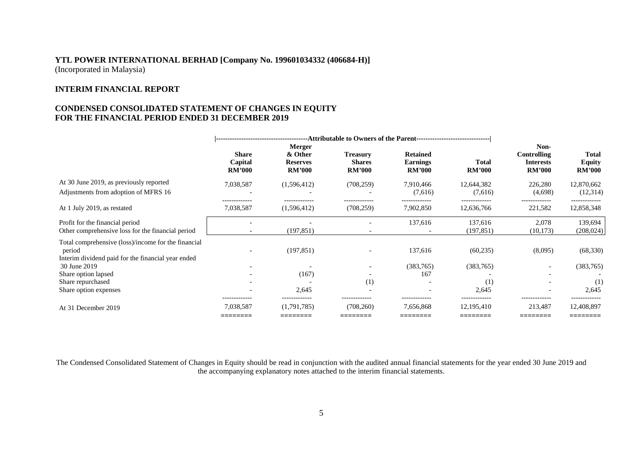### **INTERIM FINANCIAL REPORT**

## **CONDENSED CONSOLIDATED STATEMENT OF CHANGES IN EQUITY FOR THE FINANCIAL PERIOD ENDED 31 DECEMBER 2019**

|                                                                                                                     | <b>Share</b><br>Capital<br><b>RM'000</b> | <b>Merger</b><br>& Other<br><b>Reserves</b><br><b>RM'000</b> | <b>Treasury</b><br><b>Shares</b><br><b>RM'000</b> | <b>Retained</b><br><b>Earnings</b><br><b>RM'000</b> | <b>Total</b><br><b>RM'000</b>           | Non-<br>Controlling<br><b>Interests</b><br><b>RM'000</b> | Total<br><b>Equity</b><br><b>RM'000</b> |
|---------------------------------------------------------------------------------------------------------------------|------------------------------------------|--------------------------------------------------------------|---------------------------------------------------|-----------------------------------------------------|-----------------------------------------|----------------------------------------------------------|-----------------------------------------|
| At 30 June 2019, as previously reported<br>Adjustments from adoption of MFRS 16                                     | 7,038,587                                | (1,596,412)                                                  | (708, 259)                                        | 7,910,466<br>(7,616)                                | 12,644,382<br>(7,616)                   | 226,280<br>(4,698)                                       | 12,870,662<br>(12,314)                  |
| At 1 July 2019, as restated                                                                                         | ------------<br>7,038,587                | -------------<br>(1,596,412)                                 | -------------<br>(708, 259)                       | 7,902,850                                           | 12,636,766                              | .<br>221,582                                             | 12,858,348                              |
| Profit for the financial period<br>Other comprehensive loss for the financial period                                |                                          | (197, 851)                                                   |                                                   | 137,616                                             | 137,616<br>(197, 851)                   | 2,078<br>(10, 173)                                       | 139,694<br>(208, 024)                   |
| Total comprehensive (loss)/income for the financial<br>period<br>Interim dividend paid for the financial year ended |                                          | (197, 851)                                                   |                                                   | 137,616                                             | (60, 235)                               | (8,095)                                                  | (68, 330)                               |
| 30 June 2019                                                                                                        |                                          |                                                              |                                                   | (383,765)                                           | (383,765)                               | $\overline{\phantom{a}}$                                 | (383,765)                               |
| Share option lapsed<br>Share repurchased<br>Share option expenses                                                   |                                          | (167)<br>2,645                                               | (1)                                               | 167                                                 | (1)<br>2,645                            |                                                          | (1)<br>2,645                            |
| At 31 December 2019                                                                                                 | 7,038,587<br>________<br>_________       | (1,791,785)<br>________                                      | (708, 260)                                        | 7,656,868<br>________                               | -------------<br>12,195,410<br>________ | 213,487                                                  | -------------<br>12,408,897<br>________ |

The Condensed Consolidated Statement of Changes in Equity should be read in conjunction with the audited annual financial statements for the year ended 30 June 2019 and the accompanying explanatory notes attached to the interim financial statements.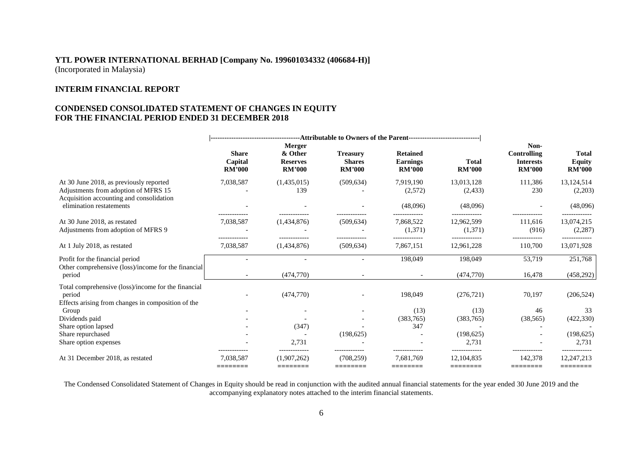### **INTERIM FINANCIAL REPORT**

## **CONDENSED CONSOLIDATED STATEMENT OF CHANGES IN EQUITY FOR THE FINANCIAL PERIOD ENDED 31 DECEMBER 2018**

|                                                                                                                             | <b>Share</b><br>Capital<br><b>RM'000</b> | <b>Merger</b><br>& Other<br><b>Reserves</b><br><b>RM'000</b> | <b>Treasury</b><br><b>Shares</b><br><b>RM'000</b> | <b>Retained</b><br><b>Earnings</b><br><b>RM'000</b> | <b>Total</b><br><b>RM'000</b> | Non-<br><b>Controlling</b><br><b>Interests</b><br><b>RM'000</b> | <b>Total</b><br><b>Equity</b><br><b>RM'000</b> |
|-----------------------------------------------------------------------------------------------------------------------------|------------------------------------------|--------------------------------------------------------------|---------------------------------------------------|-----------------------------------------------------|-------------------------------|-----------------------------------------------------------------|------------------------------------------------|
| At 30 June 2018, as previously reported<br>Adjustments from adoption of MFRS 15<br>Acquisition accounting and consolidation | 7,038,587                                | (1,435,015)<br>139                                           | (509, 634)                                        | 7,919,190<br>(2,572)                                | 13,013,128<br>(2, 433)        | 111,386<br>230                                                  | 13,124,514<br>(2,203)                          |
| elimination restatements                                                                                                    |                                          |                                                              |                                                   | (48,096)                                            | (48,096)                      |                                                                 | (48,096)                                       |
| At 30 June 2018, as restated<br>Adjustments from adoption of MFRS 9                                                         | .<br>7,038,587                           | (1,434,876)                                                  | (509, 634)                                        | -------------<br>7,868,522<br>(1,371)               | 12,962,599<br>(1,371)         | 111,616<br>(916)                                                | 13,074,215<br>(2, 287)                         |
| At 1 July 2018, as restated                                                                                                 | 7,038,587                                | (1,434,876)                                                  | (509, 634)                                        | 7,867,151                                           | 12,961,228                    | 110,700                                                         | 13,071,928                                     |
| Profit for the financial period<br>Other comprehensive (loss)/income for the financial                                      |                                          |                                                              |                                                   | 198,049                                             | 198,049                       | 53,719                                                          | 251,768                                        |
| period                                                                                                                      | $\overline{\phantom{a}}$                 | (474,770)                                                    |                                                   |                                                     | (474, 770)                    | 16,478                                                          | (458, 292)                                     |
| Total comprehensive (loss)/income for the financial<br>period<br>Effects arising from changes in composition of the         |                                          | (474,770)                                                    |                                                   | 198,049                                             | (276, 721)                    | 70,197                                                          | (206, 524)                                     |
| Group                                                                                                                       |                                          |                                                              |                                                   | (13)<br>(383,765)                                   | (13)<br>(383,765)             | 46                                                              | 33<br>(422, 330)                               |
| Dividends paid<br>Share option lapsed                                                                                       |                                          | (347)                                                        |                                                   | 347                                                 |                               | (38, 565)                                                       |                                                |
| Share repurchased                                                                                                           |                                          |                                                              | (198, 625)                                        |                                                     | (198, 625)                    |                                                                 | (198, 625)                                     |
| Share option expenses                                                                                                       |                                          | 2,731                                                        |                                                   |                                                     | 2.731                         |                                                                 | 2.731                                          |
| At 31 December 2018, as restated                                                                                            | -------------<br>7.038.587<br>========   | (1.907.262)<br>========                                      | -------------<br>(708.259)<br>========            | 7.681.769<br>========                               | 12.104.835<br>========        | -------------<br>142.378<br>========                            | -------------<br>12,247,213<br>========        |

The Condensed Consolidated Statement of Changes in Equity should be read in conjunction with the audited annual financial statements for the year ended 30 June 2019 and the accompanying explanatory notes attached to the interim financial statements.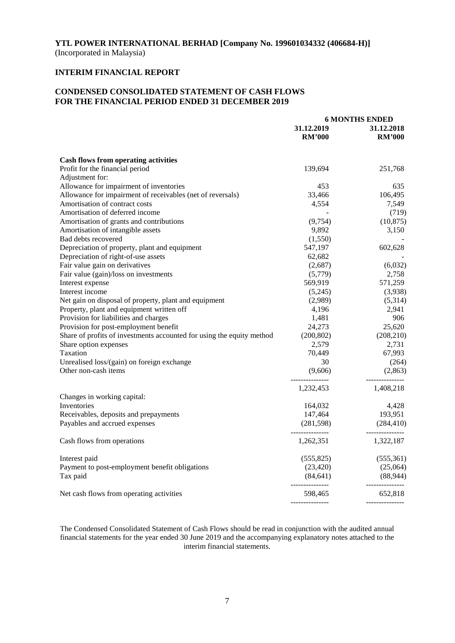## **INTERIM FINANCIAL REPORT**

## **CONDENSED CONSOLIDATED STATEMENT OF CASH FLOWS FOR THE FINANCIAL PERIOD ENDED 31 DECEMBER 2019**

|                                                                       | <b>6 MONTHS ENDED</b>         |                               |  |
|-----------------------------------------------------------------------|-------------------------------|-------------------------------|--|
|                                                                       | 31.12.2019                    | 31.12.2018                    |  |
|                                                                       | <b>RM'000</b>                 | <b>RM'000</b>                 |  |
| <b>Cash flows from operating activities</b>                           |                               |                               |  |
| Profit for the financial period                                       | 139,694                       | 251,768                       |  |
| Adjustment for:                                                       |                               |                               |  |
| Allowance for impairment of inventories                               | 453                           | 635                           |  |
| Allowance for impairment of receivables (net of reversals)            | 33,466                        | 106,495                       |  |
| Amortisation of contract costs                                        | 4,554                         | 7,549                         |  |
| Amortisation of deferred income                                       |                               | (719)                         |  |
| Amortisation of grants and contributions                              | (9,754)                       | (10, 875)                     |  |
| Amortisation of intangible assets                                     | 9,892                         | 3,150                         |  |
| Bad debts recovered                                                   | (1,550)                       |                               |  |
| Depreciation of property, plant and equipment                         | 547,197                       | 602,628                       |  |
| Depreciation of right-of-use assets                                   | 62,682                        |                               |  |
| Fair value gain on derivatives                                        | (2,687)                       | (6,032)                       |  |
|                                                                       | (5,779)                       | 2,758                         |  |
| Fair value (gain)/loss on investments                                 | 569,919                       | 571,259                       |  |
| Interest expense<br>Interest income                                   |                               |                               |  |
|                                                                       | (5,245)                       | (3,938)                       |  |
| Net gain on disposal of property, plant and equipment                 | (2,989)                       | (5,314)                       |  |
| Property, plant and equipment written off                             | 4,196<br>1,481                | 2,941<br>906                  |  |
| Provision for liabilities and charges                                 |                               |                               |  |
| Provision for post-employment benefit                                 | 24,273                        | 25,620                        |  |
| Share of profits of investments accounted for using the equity method | (200, 802)                    | (208, 210)                    |  |
| Share option expenses                                                 | 2,579                         | 2,731                         |  |
| Taxation                                                              | 70,449                        | 67,993                        |  |
| Unrealised loss/(gain) on foreign exchange                            | 30                            | (264)                         |  |
| Other non-cash items                                                  | (9,606)<br>_______________    | (2,863)<br>---------------    |  |
|                                                                       | 1,232,453                     | 1,408,218                     |  |
| Changes in working capital:                                           |                               |                               |  |
| Inventories                                                           | 164,032                       | 4,428                         |  |
| Receivables, deposits and prepayments                                 | 147,464                       | 193,951                       |  |
| Payables and accrued expenses                                         | (281,598)<br>________________ | (284, 410)<br>--------------- |  |
| Cash flows from operations                                            | 1,262,351                     | 1,322,187                     |  |
| Interest paid                                                         | (555, 825)                    | (555,361)                     |  |
| Payment to post-employment benefit obligations                        | (23, 420)                     | (25,064)                      |  |
| Tax paid                                                              | (84, 641)                     | (88, 944)                     |  |
| Net cash flows from operating activities                              | ---------------<br>598,465    | ---------------<br>652,818    |  |
|                                                                       |                               |                               |  |

The Condensed Consolidated Statement of Cash Flows should be read in conjunction with the audited annual financial statements for the year ended 30 June 2019 and the accompanying explanatory notes attached to the interim financial statements.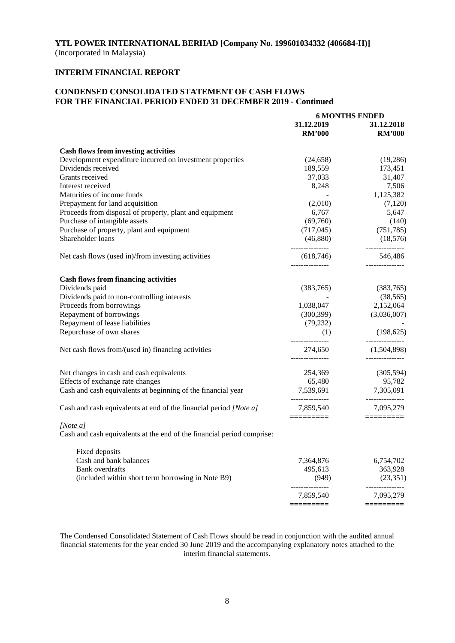## **INTERIM FINANCIAL REPORT**

## **CONDENSED CONSOLIDATED STATEMENT OF CASH FLOWS FOR THE FINANCIAL PERIOD ENDED 31 DECEMBER 2019 - Continued**

|                                                                        | <b>6 MONTHS ENDED</b>                            |                                               |  |
|------------------------------------------------------------------------|--------------------------------------------------|-----------------------------------------------|--|
|                                                                        | 31.12.2019                                       | 31.12.2018                                    |  |
|                                                                        | <b>RM'000</b>                                    | <b>RM'000</b>                                 |  |
| <b>Cash flows from investing activities</b>                            |                                                  |                                               |  |
| Development expenditure incurred on investment properties              | (24, 658)                                        | (19,286)                                      |  |
| Dividends received                                                     | 189,559                                          | 173,451                                       |  |
| Grants received                                                        | 37,033                                           | 31,407                                        |  |
| Interest received                                                      | 8,248                                            | 7,506                                         |  |
| Maturities of income funds                                             |                                                  | 1,125,382                                     |  |
| Prepayment for land acquisition                                        | (2,010)                                          | (7,120)                                       |  |
| Proceeds from disposal of property, plant and equipment                | 6,767                                            | 5,647                                         |  |
| Purchase of intangible assets                                          | (69,760)                                         | (140)                                         |  |
| Purchase of property, plant and equipment                              | (717, 045)                                       | (751, 785)                                    |  |
| Shareholder loans                                                      | (46,880)                                         | (18,576)                                      |  |
| Net cash flows (used in)/from investing activities                     | ---------------<br>(618, 746)<br>_______________ | ---------------<br>546,486<br>_______________ |  |
| <b>Cash flows from financing activities</b>                            |                                                  |                                               |  |
| Dividends paid                                                         | (383,765)                                        | (383,765)                                     |  |
| Dividends paid to non-controlling interests                            |                                                  | (38, 565)                                     |  |
| Proceeds from borrowings                                               | 1,038,047                                        | 2,152,064                                     |  |
| Repayment of borrowings                                                | (300, 399)                                       | (3,036,007)                                   |  |
| Repayment of lease liabilities                                         | (79, 232)                                        |                                               |  |
| Repurchase of own shares                                               | (1)                                              | (198, 625)                                    |  |
|                                                                        | ---------------                                  | ---------------                               |  |
| Net cash flows from/(used in) financing activities                     | 274,650<br>_______________                       | (1,504,898)                                   |  |
| Net changes in cash and cash equivalents                               | 254,369                                          | (305, 594)                                    |  |
| Effects of exchange rate changes                                       | 65,480                                           | 95,782                                        |  |
| Cash and cash equivalents at beginning of the financial year           | 7,539,691                                        | 7,305,091                                     |  |
| Cash and cash equivalents at end of the financial period [Note a]      | ---------------<br>7,859,540                     | ---------------<br>7,095,279                  |  |
| [Note $a$ ]                                                            |                                                  | $=$ ========                                  |  |
| Cash and cash equivalents at the end of the financial period comprise: |                                                  |                                               |  |
| Fixed deposits                                                         |                                                  |                                               |  |
| Cash and bank balances                                                 | 7,364,876                                        | 6,754,702                                     |  |
| <b>Bank</b> overdrafts                                                 | 495,613                                          | 363,928                                       |  |
| (included within short term borrowing in Note B9)                      | (949)<br>_______________                         | (23,351)<br>---------------                   |  |
|                                                                        | 7,859,540                                        | 7,095,279                                     |  |
|                                                                        |                                                  |                                               |  |

The Condensed Consolidated Statement of Cash Flows should be read in conjunction with the audited annual financial statements for the year ended 30 June 2019 and the accompanying explanatory notes attached to the interim financial statements.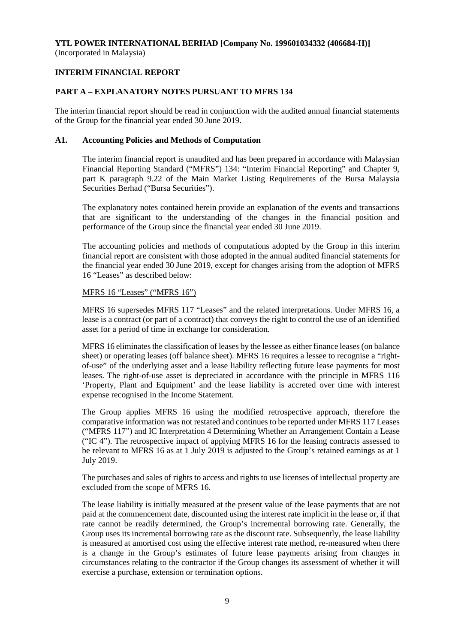## **INTERIM FINANCIAL REPORT**

## **PART A – EXPLANATORY NOTES PURSUANT TO MFRS 134**

The interim financial report should be read in conjunction with the audited annual financial statements of the Group for the financial year ended 30 June 2019.

#### **A1. Accounting Policies and Methods of Computation**

The interim financial report is unaudited and has been prepared in accordance with Malaysian Financial Reporting Standard ("MFRS") 134: "Interim Financial Reporting" and Chapter 9, part K paragraph 9.22 of the Main Market Listing Requirements of the Bursa Malaysia Securities Berhad ("Bursa Securities").

The explanatory notes contained herein provide an explanation of the events and transactions that are significant to the understanding of the changes in the financial position and performance of the Group since the financial year ended 30 June 2019.

The accounting policies and methods of computations adopted by the Group in this interim financial report are consistent with those adopted in the annual audited financial statements for the financial year ended 30 June 2019, except for changes arising from the adoption of MFRS 16 "Leases" as described below:

#### MFRS 16 "Leases" ("MFRS 16")

MFRS 16 supersedes MFRS 117 "Leases" and the related interpretations. Under MFRS 16, a lease is a contract (or part of a contract) that conveys the right to control the use of an identified asset for a period of time in exchange for consideration.

MFRS 16 eliminates the classification of leases by the lessee as either finance leases (on balance sheet) or operating leases (off balance sheet). MFRS 16 requires a lessee to recognise a "rightof-use" of the underlying asset and a lease liability reflecting future lease payments for most leases. The right-of-use asset is depreciated in accordance with the principle in MFRS 116 'Property, Plant and Equipment' and the lease liability is accreted over time with interest expense recognised in the Income Statement.

The Group applies MFRS 16 using the modified retrospective approach, therefore the comparative information was not restated and continues to be reported under MFRS 117 Leases ("MFRS 117") and IC Interpretation 4 Determining Whether an Arrangement Contain a Lease ("IC 4"). The retrospective impact of applying MFRS 16 for the leasing contracts assessed to be relevant to MFRS 16 as at 1 July 2019 is adjusted to the Group's retained earnings as at 1 July 2019.

The purchases and sales of rights to access and rights to use licenses of intellectual property are excluded from the scope of MFRS 16.

The lease liability is initially measured at the present value of the lease payments that are not paid at the commencement date, discounted using the interest rate implicit in the lease or, if that rate cannot be readily determined, the Group's incremental borrowing rate. Generally, the Group uses its incremental borrowing rate as the discount rate. Subsequently, the lease liability is measured at amortised cost using the effective interest rate method, re-measured when there is a change in the Group's estimates of future lease payments arising from changes in circumstances relating to the contractor if the Group changes its assessment of whether it will exercise a purchase, extension or termination options.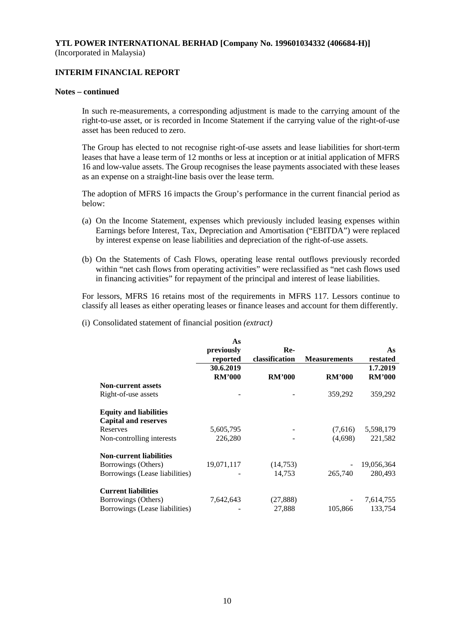## **INTERIM FINANCIAL REPORT**

#### **Notes – continued**

In such re-measurements, a corresponding adjustment is made to the carrying amount of the right-to-use asset, or is recorded in Income Statement if the carrying value of the right-of-use asset has been reduced to zero.

The Group has elected to not recognise right-of-use assets and lease liabilities for short-term leases that have a lease term of 12 months or less at inception or at initial application of MFRS 16 and low-value assets. The Group recognises the lease payments associated with these leases as an expense on a straight-line basis over the lease term.

The adoption of MFRS 16 impacts the Group's performance in the current financial period as below:

- (a) On the Income Statement, expenses which previously included leasing expenses within Earnings before Interest, Tax, Depreciation and Amortisation ("EBITDA") were replaced by interest expense on lease liabilities and depreciation of the right-of-use assets.
- (b) On the Statements of Cash Flows, operating lease rental outflows previously recorded within "net cash flows from operating activities" were reclassified as "net cash flows used in financing activities" for repayment of the principal and interest of lease liabilities.

For lessors, MFRS 16 retains most of the requirements in MFRS 117. Lessors continue to classify all leases as either operating leases or finance leases and account for them differently.

(i) Consolidated statement of financial position *(extract)*

|                                | As            |                |                     |               |
|--------------------------------|---------------|----------------|---------------------|---------------|
|                                | previously    | Re-            |                     | As            |
|                                | reported      | classification | <b>Measurements</b> | restated      |
|                                | 30.6.2019     |                |                     | 1.7.2019      |
|                                | <b>RM'000</b> | <b>RM'000</b>  | <b>RM'000</b>       | <b>RM'000</b> |
| <b>Non-current assets</b>      |               |                |                     |               |
| Right-of-use assets            |               |                | 359,292             | 359,292       |
| <b>Equity and liabilities</b>  |               |                |                     |               |
| <b>Capital and reserves</b>    |               |                |                     |               |
| Reserves                       | 5,605,795     |                | (7,616)             | 5,598,179     |
| Non-controlling interests      | 226,280       |                | (4,698)             | 221,582       |
| <b>Non-current liabilities</b> |               |                |                     |               |
| Borrowings (Others)            | 19,071,117    | (14,753)       |                     | 19,056,364    |
| Borrowings (Lease liabilities) |               | 14,753         | 265,740             | 280,493       |
| <b>Current liabilities</b>     |               |                |                     |               |
| Borrowings (Others)            | 7,642,643     | (27, 888)      |                     | 7,614,755     |
| Borrowings (Lease liabilities) |               | 27,888         | 105,866             | 133,754       |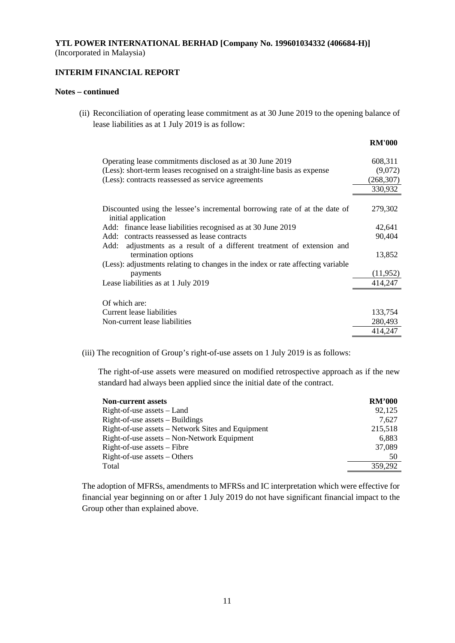## **INTERIM FINANCIAL REPORT**

#### **Notes – continued**

(ii) Reconciliation of operating lease commitment as at 30 June 2019 to the opening balance of lease liabilities as at 1 July 2019 is as follow:

|                                                                                                   | <b>RM'000</b> |
|---------------------------------------------------------------------------------------------------|---------------|
| Operating lease commitments disclosed as at 30 June 2019                                          | 608,311       |
| (Less): short-term leases recognised on a straight-line basis as expense                          | (9,072)       |
| (Less): contracts reassessed as service agreements                                                | (268, 307)    |
|                                                                                                   | 330,932       |
|                                                                                                   |               |
| Discounted using the lessee's incremental borrowing rate of at the date of<br>initial application | 279,302       |
| Add: finance lease liabilities recognised as at 30 June 2019                                      | 42,641        |
| Add: contracts reassessed as lease contracts                                                      | 90,404        |
| adjustments as a result of a different treatment of extension and<br>Add:                         |               |
| termination options                                                                               | 13,852        |
| (Less): adjustments relating to changes in the index or rate affecting variable                   |               |
| payments                                                                                          | (11,952)      |
| Lease liabilities as at 1 July 2019                                                               | 414,247       |
|                                                                                                   |               |
| Of which are:                                                                                     |               |
| Current lease liabilities                                                                         | 133,754       |
| Non-current lease liabilities                                                                     | 280,493       |
|                                                                                                   | 414,247       |

(iii) The recognition of Group's right-of-use assets on 1 July 2019 is as follows:

The right-of-use assets were measured on modified retrospective approach as if the new standard had always been applied since the initial date of the contract.

| <b>Non-current assets</b>                         | <b>RM'000</b> |
|---------------------------------------------------|---------------|
| $Right-of-use assets - Land$                      | 92,125        |
| $Right-of-use$ assets $-$ Buildings               | 7.627         |
| Right-of-use assets – Network Sites and Equipment | 215,518       |
| Right-of-use assets – Non-Network Equipment       | 6,883         |
| Right-of-use assets – Fibre                       | 37,089        |
| $Right-of-use assets - Others$                    | 50            |
| Total                                             | 359,292       |

The adoption of MFRSs, amendments to MFRSs and IC interpretation which were effective for financial year beginning on or after 1 July 2019 do not have significant financial impact to the Group other than explained above.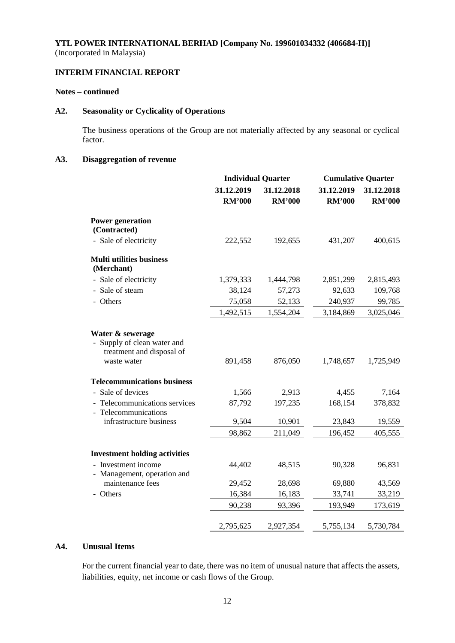## **INTERIM FINANCIAL REPORT**

### **Notes – continued**

## **A2. Seasonality or Cyclicality of Operations**

The business operations of the Group are not materially affected by any seasonal or cyclical factor.

## **A3. Disaggregation of revenue**

|                                                                                                                       |               | <b>Individual Quarter</b> | <b>Cumulative Quarter</b> |               |
|-----------------------------------------------------------------------------------------------------------------------|---------------|---------------------------|---------------------------|---------------|
|                                                                                                                       | 31.12.2019    | 31.12.2018                | 31.12.2019                | 31.12.2018    |
|                                                                                                                       | <b>RM'000</b> | <b>RM'000</b>             | <b>RM'000</b>             | <b>RM'000</b> |
| <b>Power generation</b><br>(Contracted)                                                                               |               |                           |                           |               |
| - Sale of electricity                                                                                                 | 222,552       | 192,655                   | 431,207                   | 400,615       |
| <b>Multi utilities business</b><br>(Merchant)                                                                         |               |                           |                           |               |
| - Sale of electricity                                                                                                 | 1,379,333     | 1,444,798                 | 2,851,299                 | 2,815,493     |
| - Sale of steam                                                                                                       | 38,124        | 57,273                    | 92,633                    | 109,768       |
| - Others                                                                                                              | 75,058        | 52,133                    | 240,937                   | 99,785        |
|                                                                                                                       | 1,492,515     | 1,554,204                 | 3,184,869                 | 3,025,046     |
| Water & sewerage<br>Supply of clean water and<br>$\overline{\phantom{0}}$<br>treatment and disposal of<br>waste water | 891,458       | 876,050                   | 1,748,657                 | 1,725,949     |
| <b>Telecommunications business</b>                                                                                    |               |                           |                           |               |
| - Sale of devices                                                                                                     | 1,566         | 2,913                     | 4,455                     | 7,164         |
| - Telecommunications services<br>- Telecommunications                                                                 | 87,792        | 197,235                   | 168,154                   | 378,832       |
| infrastructure business                                                                                               | 9,504         | 10,901                    | 23,843                    | 19,559        |
|                                                                                                                       | 98,862        | 211,049                   | 196,452                   | 405,555       |
| <b>Investment holding activities</b>                                                                                  |               |                           |                           |               |
| - Investment income<br>- Management, operation and                                                                    | 44,402        | 48,515                    | 90,328                    | 96,831        |
| maintenance fees                                                                                                      | 29,452        | 28,698                    | 69,880                    | 43,569        |
| - Others                                                                                                              | 16,384        | 16,183                    | 33,741                    | 33,219        |
|                                                                                                                       | 90,238        | 93,396                    | 193,949                   | 173,619       |
|                                                                                                                       | 2,795,625     | 2,927,354                 | 5,755,134                 | 5,730,784     |

## **A4. Unusual Items**

For the current financial year to date, there was no item of unusual nature that affects the assets, liabilities, equity, net income or cash flows of the Group.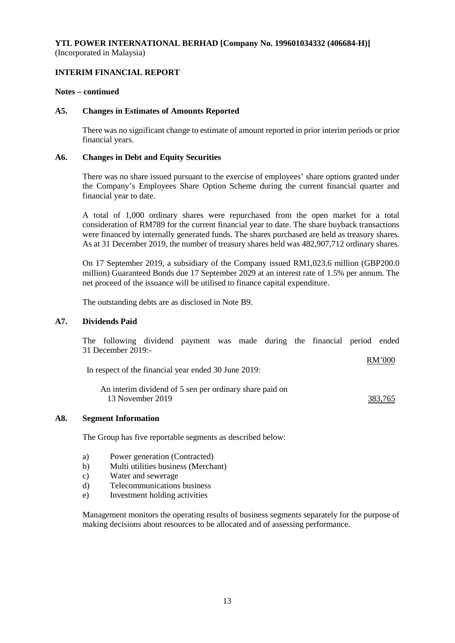## **INTERIM FINANCIAL REPORT**

#### **Notes – continued**

#### **A5. Changes in Estimates of Amounts Reported**

There was no significant change to estimate of amount reported in prior interim periods or prior financial years.

#### **A6. Changes in Debt and Equity Securities**

There was no share issued pursuant to the exercise of employees' share options granted under the Company's Employees Share Option Scheme during the current financial quarter and financial year to date.

A total of 1,000 ordinary shares were repurchased from the open market for a total consideration of RM789 for the current financial year to date. The share buyback transactions were financed by internally generated funds. The shares purchased are held as treasury shares. As at 31 December 2019, the number of treasury shares held was 482,907,712 ordinary shares.

On 17 September 2019, a subsidiary of the Company issued RM1,023.6 million (GBP200.0 million) Guaranteed Bonds due 17 September 2029 at an interest rate of 1.5% per annum. The net proceed of the issuance will be utilised to finance capital expenditure.

The outstanding debts are as disclosed in Note B9.

#### **A7. Dividends Paid**

The following dividend payment was made during the financial period ended 31 December 2019:-

In respect of the financial year ended 30 June 2019:

An interim dividend of 5 sen per ordinary share paid on 13 November 2019 383,765

RM'000

#### **A8. Segment Information**

The Group has five reportable segments as described below:

- a) Power generation (Contracted)
- b) Multi utilities business (Merchant)
- c) Water and sewerage
- d) Telecommunications business
- e) Investment holding activities

Management monitors the operating results of business segments separately for the purpose of making decisions about resources to be allocated and of assessing performance.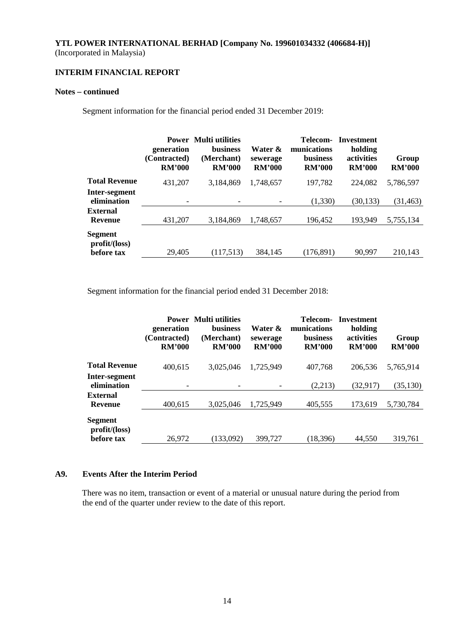## **INTERIM FINANCIAL REPORT**

### **Notes – continued**

Segment information for the financial period ended 31 December 2019:

|                                   | generation<br>(Contracted)<br><b>RM'000</b> | <b>Power</b> Multi utilities<br><b>business</b><br>(Merchant)<br><b>RM'000</b> | Water &<br>sewerage<br><b>RM'000</b> | Telecom-<br>munications<br><b>business</b><br><b>RM'000</b> | <b>Investment</b><br>holding<br>activities<br><b>RM'000</b> | Group<br><b>RM'000</b> |
|-----------------------------------|---------------------------------------------|--------------------------------------------------------------------------------|--------------------------------------|-------------------------------------------------------------|-------------------------------------------------------------|------------------------|
| <b>Total Revenue</b>              | 431,207                                     | 3,184,869                                                                      | 1,748,657                            | 197,782                                                     | 224,082                                                     | 5,786,597              |
| Inter-segment<br>elimination      |                                             |                                                                                |                                      | (1,330)                                                     | (30, 133)                                                   | (31, 463)              |
| <b>External</b><br><b>Revenue</b> | 431,207                                     | 3.184.869                                                                      | 1,748,657                            | 196,452                                                     | 193,949                                                     | 5,755,134              |
| <b>Segment</b><br>profit/loss)    |                                             |                                                                                |                                      |                                                             |                                                             |                        |
| before tax                        | 29,405                                      | (117,513)                                                                      | 384,145                              | (176, 891)                                                  | 90.997                                                      | 210.143                |

Segment information for the financial period ended 31 December 2018:

|                              | generation<br>(Contracted)<br><b>RM'000</b> | <b>Power</b> Multi utilities<br><b>business</b><br>(Merchant)<br><b>RM'000</b> | Water &<br>sewerage<br><b>RM'000</b> | Telecom-<br>munications<br><b>business</b><br><b>RM'000</b> | <b>Investment</b><br>holding<br>activities<br><b>RM'000</b> | Group<br><b>RM'000</b> |
|------------------------------|---------------------------------------------|--------------------------------------------------------------------------------|--------------------------------------|-------------------------------------------------------------|-------------------------------------------------------------|------------------------|
| <b>Total Revenue</b>         | 400,615                                     | 3.025.046                                                                      | 1,725,949                            | 407,768                                                     | 206,536                                                     | 5,765,914              |
| Inter-segment<br>elimination | $\overline{\phantom{a}}$                    |                                                                                |                                      | (2,213)                                                     | (32, 917)                                                   | (35, 130)              |
| External<br><b>Revenue</b>   | 400,615                                     | 3,025,046                                                                      | 1,725,949                            | 405,555                                                     | 173.619                                                     | 5,730,784              |
| Segment<br>profit/loss)      |                                             |                                                                                |                                      |                                                             |                                                             |                        |
| before tax                   | 26,972                                      | (133.092)                                                                      | 399,727                              | (18, 396)                                                   | 44.550                                                      | 319.761                |

## **A9. Events After the Interim Period**

There was no item, transaction or event of a material or unusual nature during the period from the end of the quarter under review to the date of this report.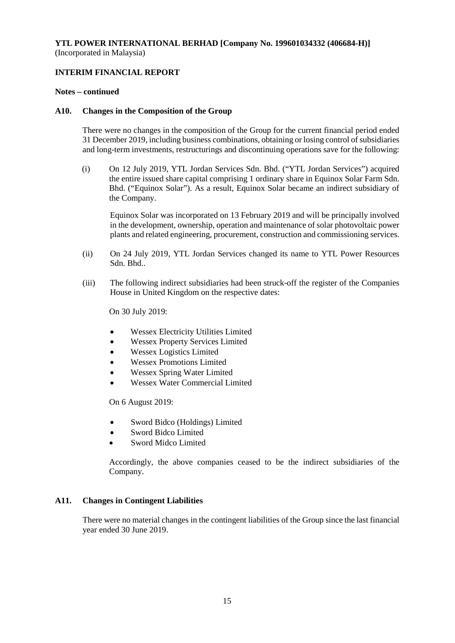## **INTERIM FINANCIAL REPORT**

#### **Notes – continued**

#### **A10. Changes in the Composition of the Group**

There were no changes in the composition of the Group for the current financial period ended 31 December 2019, including business combinations, obtaining or losing control of subsidiaries and long-term investments, restructurings and discontinuing operations save for the following:

(i) On 12 July 2019, YTL Jordan Services Sdn. Bhd. ("YTL Jordan Services") acquired the entire issued share capital comprising 1 ordinary share in Equinox Solar Farm Sdn. Bhd. ("Equinox Solar"). As a result, Equinox Solar became an indirect subsidiary of the Company.

Equinox Solar was incorporated on 13 February 2019 and will be principally involved in the development, ownership, operation and maintenance of solar photovoltaic power plants and related engineering, procurement, construction and commissioning services.

- (ii) On 24 July 2019, YTL Jordan Services changed its name to YTL Power Resources Sdn. Bhd..
- (iii) The following indirect subsidiaries had been struck-off the register of the Companies House in United Kingdom on the respective dates:

On 30 July 2019:

- Wessex Electricity Utilities Limited
- Wessex Property Services Limited
- Wessex Logistics Limited
- Wessex Promotions Limited
- Wessex Spring Water Limited
- Wessex Water Commercial Limited

On 6 August 2019:

- Sword Bidco (Holdings) Limited
- Sword Bidco Limited
- Sword Midco Limited

Accordingly, the above companies ceased to be the indirect subsidiaries of the Company.

### **A11. Changes in Contingent Liabilities**

There were no material changes in the contingent liabilities of the Group since the last financial year ended 30 June 2019.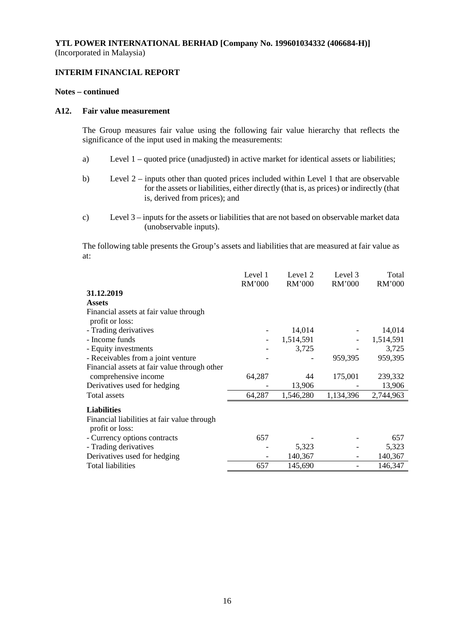### **INTERIM FINANCIAL REPORT**

#### **Notes – continued**

#### **A12. Fair value measurement**

The Group measures fair value using the following fair value hierarchy that reflects the significance of the input used in making the measurements:

- a) Level 1 quoted price (unadjusted) in active market for identical assets or liabilities;
- b) Level 2 inputs other than quoted prices included within Level 1 that are observable for the assets or liabilities, either directly (that is, as prices) or indirectly (that is, derived from prices); and
- c) Level 3 inputs for the assets or liabilities that are not based on observable market data (unobservable inputs).

The following table presents the Group's assets and liabilities that are measured at fair value as at:

|                                              | Level 1<br><b>RM'000</b> | Level 2<br>RM'000 | Level 3<br>RM'000 | Total<br>RM'000 |
|----------------------------------------------|--------------------------|-------------------|-------------------|-----------------|
| 31.12.2019                                   |                          |                   |                   |                 |
| <b>Assets</b>                                |                          |                   |                   |                 |
| Financial assets at fair value through       |                          |                   |                   |                 |
| profit or loss:                              |                          |                   |                   |                 |
| - Trading derivatives                        |                          | 14,014            |                   | 14,014          |
| - Income funds                               |                          | 1,514,591         |                   | 1,514,591       |
| - Equity investments                         |                          | 3,725             |                   | 3,725           |
| - Receivables from a joint venture           |                          |                   | 959,395           | 959,395         |
| Financial assets at fair value through other |                          |                   |                   |                 |
| comprehensive income                         | 64,287                   | 44                | 175,001           | 239,332         |
| Derivatives used for hedging                 |                          | 13,906            |                   | 13,906          |
| <b>Total</b> assets                          | 64,287                   | 1,546,280         | 1,134,396         | 2,744,963       |
| <b>Liabilities</b>                           |                          |                   |                   |                 |
| Financial liabilities at fair value through  |                          |                   |                   |                 |
| profit or loss:                              |                          |                   |                   |                 |
| - Currency options contracts                 | 657                      |                   |                   | 657             |
| - Trading derivatives                        |                          | 5,323             |                   | 5,323           |
| Derivatives used for hedging                 |                          | 140,367           |                   | 140,367         |
| <b>Total liabilities</b>                     | 657                      | 145,690           |                   | 146,347         |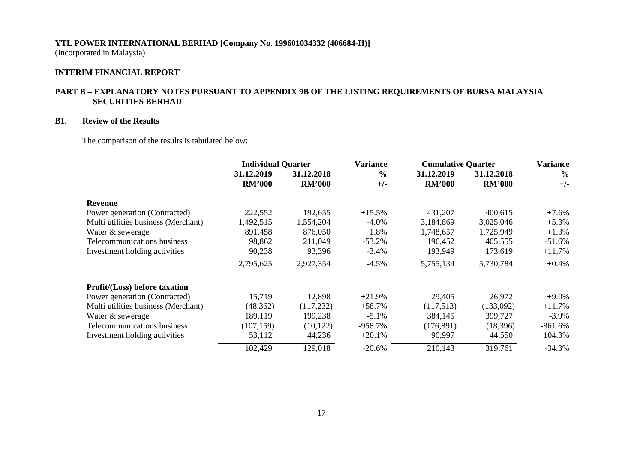## **INTERIM FINANCIAL REPORT**

## **PART B – EXPLANATORY NOTES PURSUANT TO APPENDIX 9B OF THE LISTING REQUIREMENTS OF BURSA MALAYSIA SECURITIES BERHAD**

## **B1. Review of the Results**

The comparison of the results is tabulated below:

|                                      | <b>Individual Quarter</b>   |                             | <b>Variance</b>        | <b>Cumulative Quarter</b>   |                             | <b>Variance</b>        |
|--------------------------------------|-----------------------------|-----------------------------|------------------------|-----------------------------|-----------------------------|------------------------|
|                                      | 31.12.2019<br><b>RM'000</b> | 31.12.2018<br><b>RM'000</b> | $\frac{0}{0}$<br>$+/-$ | 31.12.2019<br><b>RM'000</b> | 31.12.2018<br><b>RM'000</b> | $\frac{0}{0}$<br>$+/-$ |
| <b>Revenue</b>                       |                             |                             |                        |                             |                             |                        |
| Power generation (Contracted)        | 222,552                     | 192,655                     | $+15.5%$               | 431,207                     | 400,615                     | $+7.6%$                |
| Multi utilities business (Merchant)  | 1,492,515                   | 1,554,204                   | $-4.0\%$               | 3,184,869                   | 3,025,046                   | $+5.3%$                |
| Water & sewerage                     | 891,458                     | 876,050                     | $+1.8%$                | 1,748,657                   | 1,725,949                   | $+1.3%$                |
| Telecommunications business          | 98,862                      | 211,049                     | $-53.2%$               | 196,452                     | 405,555                     | $-51.6%$               |
| Investment holding activities        | 90,238                      | 93,396                      | $-3.4%$                | 193,949                     | 173,619                     | $+11.7%$               |
|                                      | 2,795,625                   | 2,927,354                   | $-4.5\%$               | 5,755,134                   | 5,730,784                   | $+0.4%$                |
| <b>Profit/(Loss)</b> before taxation |                             |                             |                        |                             |                             |                        |
| Power generation (Contracted)        | 15,719                      | 12,898                      | $+21.9%$               | 29,405                      | 26,972                      | $+9.0\%$               |
| Multi utilities business (Merchant)  | (48, 362)                   | (117, 232)                  | $+58.7%$               | (117,513)                   | (133,092)                   | $+11.7%$               |
| Water & sewerage                     | 189,119                     | 199,238                     | $-5.1\%$               | 384,145                     | 399,727                     | $-3.9\%$               |
| Telecommunications business          | (107, 159)                  | (10, 122)                   | $-958.7%$              | (176, 891)                  | (18, 396)                   | $-861.6%$              |
| Investment holding activities        | 53,112                      | 44,236                      | $+20.1%$               | 90,997                      | 44,550                      | $+104.3%$              |
|                                      | 102,429                     | 129,018                     | $-20.6%$               | 210,143                     | 319,761                     | $-34.3%$               |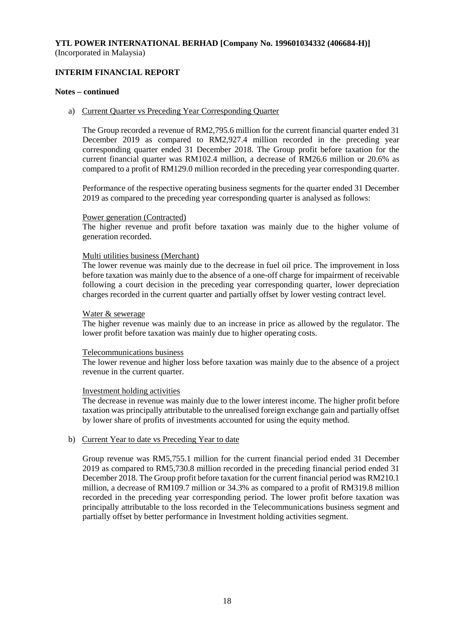## **INTERIM FINANCIAL REPORT**

#### **Notes – continued**

#### a) Current Quarter vs Preceding Year Corresponding Quarter

The Group recorded a revenue of RM2,795.6 million for the current financial quarter ended 31 December 2019 as compared to RM2,927.4 million recorded in the preceding year corresponding quarter ended 31 December 2018. The Group profit before taxation for the current financial quarter was RM102.4 million, a decrease of RM26.6 million or 20.6% as compared to a profit of RM129.0 million recorded in the preceding year corresponding quarter.

Performance of the respective operating business segments for the quarter ended 31 December 2019 as compared to the preceding year corresponding quarter is analysed as follows:

#### Power generation (Contracted)

The higher revenue and profit before taxation was mainly due to the higher volume of generation recorded.

### Multi utilities business (Merchant)

The lower revenue was mainly due to the decrease in fuel oil price. The improvement in loss before taxation was mainly due to the absence of a one-off charge for impairment of receivable following a court decision in the preceding year corresponding quarter, lower depreciation charges recorded in the current quarter and partially offset by lower vesting contract level.

#### Water & sewerage

The higher revenue was mainly due to an increase in price as allowed by the regulator. The lower profit before taxation was mainly due to higher operating costs.

#### Telecommunications business

The lower revenue and higher loss before taxation was mainly due to the absence of a project revenue in the current quarter.

### Investment holding activities

The decrease in revenue was mainly due to the lower interest income. The higher profit before taxation was principally attributable to the unrealised foreign exchange gain and partially offset by lower share of profits of investments accounted for using the equity method.

### b) Current Year to date vs Preceding Year to date

Group revenue was RM5,755.1 million for the current financial period ended 31 December 2019 as compared to RM5,730.8 million recorded in the preceding financial period ended 31 December 2018. The Group profit before taxation for the current financial period was RM210.1 million, a decrease of RM109.7 million or 34.3% as compared to a profit of RM319.8 million recorded in the preceding year corresponding period. The lower profit before taxation was principally attributable to the loss recorded in the Telecommunications business segment and partially offset by better performance in Investment holding activities segment.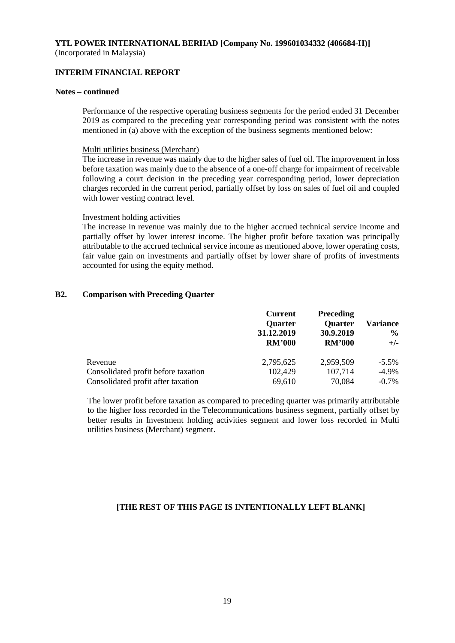### **INTERIM FINANCIAL REPORT**

#### **Notes – continued**

Performance of the respective operating business segments for the period ended 31 December 2019 as compared to the preceding year corresponding period was consistent with the notes mentioned in (a) above with the exception of the business segments mentioned below:

#### Multi utilities business (Merchant)

The increase in revenue was mainly due to the higher sales of fuel oil. The improvement in loss before taxation was mainly due to the absence of a one-off charge for impairment of receivable following a court decision in the preceding year corresponding period, lower depreciation charges recorded in the current period, partially offset by loss on sales of fuel oil and coupled with lower vesting contract level.

#### Investment holding activities

The increase in revenue was mainly due to the higher accrued technical service income and partially offset by lower interest income. The higher profit before taxation was principally attributable to the accrued technical service income as mentioned above, lower operating costs, fair value gain on investments and partially offset by lower share of profits of investments accounted for using the equity method.

#### **B2. Comparison with Preceding Quarter**

|                                     | <b>Current</b><br><b>Quarter</b><br>31.12.2019<br><b>RM'000</b> | <b>Preceding</b><br><b>Quarter</b><br>30.9.2019<br><b>RM'000</b> | <b>Variance</b><br>$\frac{6}{10}$<br>$+/-$ |
|-------------------------------------|-----------------------------------------------------------------|------------------------------------------------------------------|--------------------------------------------|
| Revenue                             | 2,795,625                                                       | 2,959,509                                                        | $-5.5\%$                                   |
| Consolidated profit before taxation | 102,429                                                         | 107,714                                                          | $-4.9\%$                                   |
| Consolidated profit after taxation  | 69,610                                                          | 70,084                                                           | $-0.7\%$                                   |

The lower profit before taxation as compared to preceding quarter was primarily attributable to the higher loss recorded in the Telecommunications business segment, partially offset by better results in Investment holding activities segment and lower loss recorded in Multi utilities business (Merchant) segment.

### **[THE REST OF THIS PAGE IS INTENTIONALLY LEFT BLANK]**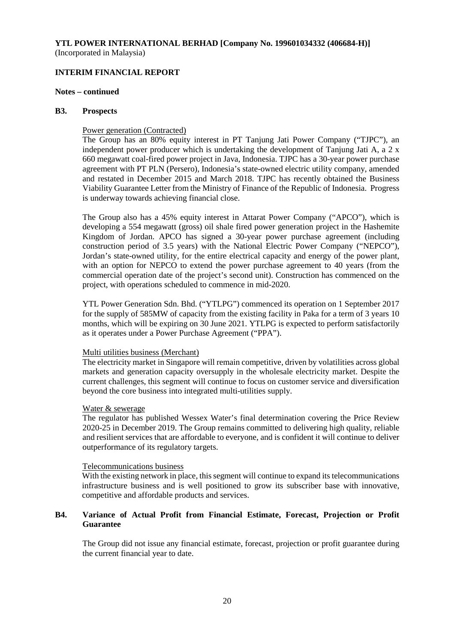#### **INTERIM FINANCIAL REPORT**

#### **Notes – continued**

#### **B3. Prospects**

#### Power generation (Contracted)

The Group has an 80% equity interest in PT Tanjung Jati Power Company ("TJPC"), an independent power producer which is undertaking the development of Tanjung Jati A, a 2 x 660 megawatt coal-fired power project in Java, Indonesia. TJPC has a 30-year power purchase agreement with PT PLN (Persero), Indonesia's state-owned electric utility company, amended and restated in December 2015 and March 2018. TJPC has recently obtained the Business Viability Guarantee Letter from the Ministry of Finance of the Republic of Indonesia. Progress is underway towards achieving financial close.

The Group also has a 45% equity interest in Attarat Power Company ("APCO"), which is developing a 554 megawatt (gross) oil shale fired power generation project in the Hashemite Kingdom of Jordan. APCO has signed a 30-year power purchase agreement (including construction period of 3.5 years) with the National Electric Power Company ("NEPCO"), Jordan's state-owned utility, for the entire electrical capacity and energy of the power plant, with an option for NEPCO to extend the power purchase agreement to 40 years (from the commercial operation date of the project's second unit). Construction has commenced on the project, with operations scheduled to commence in mid-2020.

YTL Power Generation Sdn. Bhd. ("YTLPG") commenced its operation on 1 September 2017 for the supply of 585MW of capacity from the existing facility in Paka for a term of 3 years 10 months, which will be expiring on 30 June 2021. YTLPG is expected to perform satisfactorily as it operates under a Power Purchase Agreement ("PPA").

#### Multi utilities business (Merchant)

The electricity market in Singapore will remain competitive, driven by volatilities across global markets and generation capacity oversupply in the wholesale electricity market. Despite the current challenges, this segment will continue to focus on customer service and diversification beyond the core business into integrated multi-utilities supply.

#### Water & sewerage

The regulator has published Wessex Water's final determination covering the Price Review 2020-25 in December 2019. The Group remains committed to delivering high quality, reliable and resilient services that are affordable to everyone, and is confident it will continue to deliver outperformance of its regulatory targets.

#### Telecommunications business

With the existing network in place, this segment will continue to expand its telecommunications infrastructure business and is well positioned to grow its subscriber base with innovative, competitive and affordable products and services.

## **B4. Variance of Actual Profit from Financial Estimate, Forecast, Projection or Profit Guarantee**

The Group did not issue any financial estimate, forecast, projection or profit guarantee during the current financial year to date.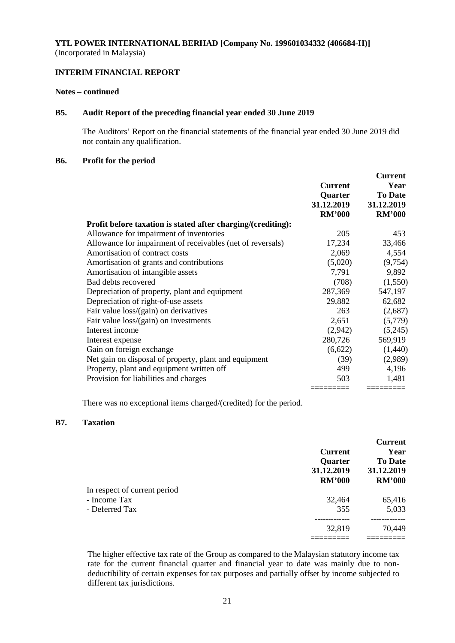## **INTERIM FINANCIAL REPORT**

#### **Notes – continued**

## **B5. Audit Report of the preceding financial year ended 30 June 2019**

The Auditors' Report on the financial statements of the financial year ended 30 June 2019 did not contain any qualification.

#### **B6. Profit for the period**

|                                                              |                | <b>Current</b> |
|--------------------------------------------------------------|----------------|----------------|
|                                                              | <b>Current</b> | Year           |
|                                                              | Quarter        | <b>To Date</b> |
|                                                              | 31.12.2019     | 31.12.2019     |
|                                                              | <b>RM'000</b>  | <b>RM'000</b>  |
| Profit before taxation is stated after charging/(crediting): |                |                |
| Allowance for impairment of inventories                      | 205            | 453            |
| Allowance for impairment of receivables (net of reversals)   | 17,234         | 33,466         |
| Amortisation of contract costs                               | 2,069          | 4,554          |
| Amortisation of grants and contributions                     | (5,020)        | (9,754)        |
| Amortisation of intangible assets                            | 7,791          | 9,892          |
| Bad debts recovered                                          | (708)          | (1,550)        |
| Depreciation of property, plant and equipment                | 287,369        | 547,197        |
| Depreciation of right-of-use assets                          | 29,882         | 62,682         |
| Fair value loss/(gain) on derivatives                        | 263            | (2,687)        |
| Fair value loss/(gain) on investments                        | 2,651          | (5,779)        |
| Interest income                                              | (2,942)        | (5,245)        |
| Interest expense                                             | 280,726        | 569,919        |
| Gain on foreign exchange                                     | (6,622)        | (1,440)        |
| Net gain on disposal of property, plant and equipment        | (39)           | (2,989)        |
| Property, plant and equipment written off                    | 499            | 4,196          |
| Provision for liabilities and charges                        | 503            | 1,481          |
|                                                              | ========       | =========      |

There was no exceptional items charged/(credited) for the period.

## **B7. Taxation**

|                              | <b>Current</b><br><b>Quarter</b><br>31.12.2019<br><b>RM'000</b> | <b>Current</b><br>Year<br><b>To Date</b><br>31.12.2019<br><b>RM'000</b> |
|------------------------------|-----------------------------------------------------------------|-------------------------------------------------------------------------|
| In respect of current period |                                                                 |                                                                         |
| - Income Tax                 | 32,464                                                          | 65,416                                                                  |
| - Deferred Tax               | 355                                                             | 5,033                                                                   |
|                              | 32,819                                                          | 70,449                                                                  |
|                              |                                                                 |                                                                         |

The higher effective tax rate of the Group as compared to the Malaysian statutory income tax rate for the current financial quarter and financial year to date was mainly due to nondeductibility of certain expenses for tax purposes and partially offset by income subjected to different tax jurisdictions.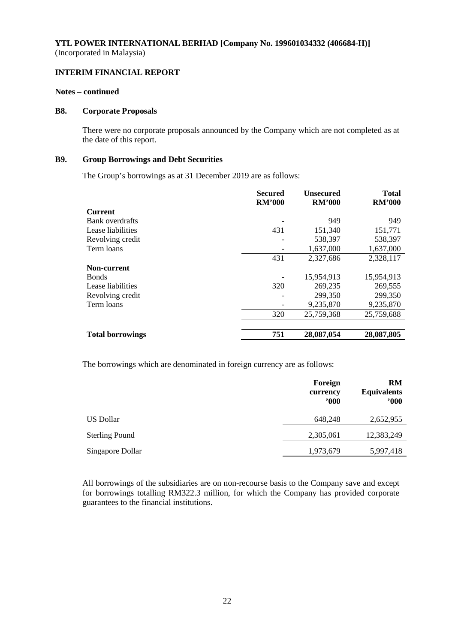## **INTERIM FINANCIAL REPORT**

#### **Notes – continued**

#### **B8. Corporate Proposals**

There were no corporate proposals announced by the Company which are not completed as at the date of this report.

#### **B9. Group Borrowings and Debt Securities**

The Group's borrowings as at 31 December 2019 are as follows:

|                         | <b>Secured</b><br><b>RM'000</b> | <b>Unsecured</b><br><b>RM'000</b> | <b>Total</b><br><b>RM'000</b> |
|-------------------------|---------------------------------|-----------------------------------|-------------------------------|
| <b>Current</b>          |                                 |                                   |                               |
| <b>Bank</b> overdrafts  |                                 | 949                               | 949                           |
| Lease liabilities       | 431                             | 151,340                           | 151,771                       |
| Revolving credit        |                                 | 538,397                           | 538,397                       |
| Term loans              |                                 | 1,637,000                         | 1,637,000                     |
|                         | 431                             | 2,327,686                         | 2,328,117                     |
| Non-current             |                                 |                                   |                               |
| <b>B</b> onds           |                                 | 15,954,913                        | 15,954,913                    |
| Lease liabilities       | 320                             | 269,235                           | 269,555                       |
| Revolving credit        |                                 | 299,350                           | 299,350                       |
| Term loans              |                                 | 9,235,870                         | 9,235,870                     |
|                         | 320                             | 25,759,368                        | 25,759,688                    |
|                         |                                 |                                   |                               |
| <b>Total borrowings</b> | 751                             | 28,087,054                        | 28,087,805                    |

The borrowings which are denominated in foreign currency are as follows:

|                       | Foreign<br>currency<br>$900^\circ$ | <b>RM</b><br><b>Equivalents</b><br>"000" |
|-----------------------|------------------------------------|------------------------------------------|
| US Dollar             | 648,248                            | 2,652,955                                |
| <b>Sterling Pound</b> | 2,305,061                          | 12,383,249                               |
| Singapore Dollar      | 1,973,679                          | 5,997,418                                |

All borrowings of the subsidiaries are on non-recourse basis to the Company save and except for borrowings totalling RM322.3 million, for which the Company has provided corporate guarantees to the financial institutions.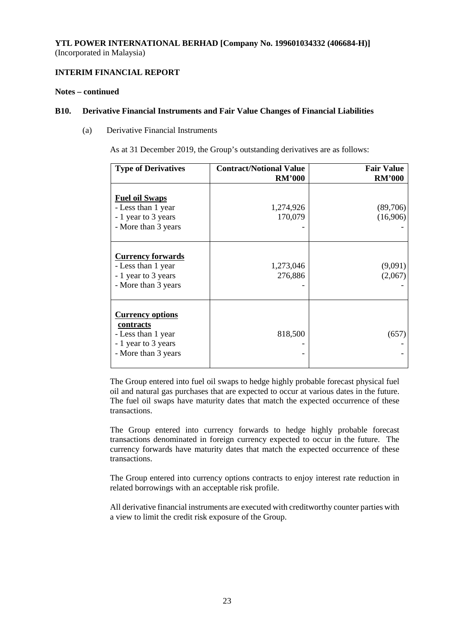## **INTERIM FINANCIAL REPORT**

## **Notes – continued**

#### **B10. Derivative Financial Instruments and Fair Value Changes of Financial Liabilities**

(a) Derivative Financial Instruments

As at 31 December 2019, the Group's outstanding derivatives are as follows:

| <b>Type of Derivatives</b>                                                                               | <b>Contract/Notional Value</b><br><b>RM'000</b> | <b>Fair Value</b><br><b>RM'000</b> |
|----------------------------------------------------------------------------------------------------------|-------------------------------------------------|------------------------------------|
| <b>Fuel oil Swaps</b><br>- Less than 1 year<br>- 1 year to 3 years<br>- More than 3 years                | 1,274,926<br>170,079                            | (89,706)<br>(16,906)               |
| <b>Currency forwards</b><br>- Less than 1 year<br>- 1 year to 3 years<br>- More than 3 years             | 1,273,046<br>276,886                            | (9,091)<br>(2,067)                 |
| <b>Currency options</b><br>contracts<br>- Less than 1 year<br>- 1 year to 3 years<br>- More than 3 years | 818,500                                         | (657)                              |

The Group entered into fuel oil swaps to hedge highly probable forecast physical fuel oil and natural gas purchases that are expected to occur at various dates in the future. The fuel oil swaps have maturity dates that match the expected occurrence of these transactions.

The Group entered into currency forwards to hedge highly probable forecast transactions denominated in foreign currency expected to occur in the future. The currency forwards have maturity dates that match the expected occurrence of these transactions.

The Group entered into currency options contracts to enjoy interest rate reduction in related borrowings with an acceptable risk profile.

All derivative financial instruments are executed with creditworthy counter parties with a view to limit the credit risk exposure of the Group.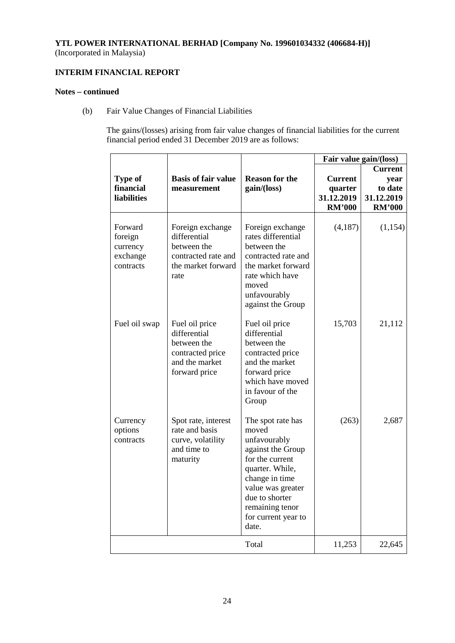## **INTERIM FINANCIAL REPORT**

## **Notes – continued**

(b) Fair Value Changes of Financial Liabilities

The gains/(losses) arising from fair value changes of financial liabilities for the current financial period ended 31 December 2019 are as follows:

|                                                         |                                                                                                      |                                                                                                                                                                                                                   |                                                          | Fair value gain/(loss)                                           |
|---------------------------------------------------------|------------------------------------------------------------------------------------------------------|-------------------------------------------------------------------------------------------------------------------------------------------------------------------------------------------------------------------|----------------------------------------------------------|------------------------------------------------------------------|
| <b>Type of</b><br>financial<br><b>liabilities</b>       | <b>Basis of fair value</b><br>measurement                                                            | <b>Reason for the</b><br>gain/(loss)                                                                                                                                                                              | <b>Current</b><br>quarter<br>31.12.2019<br><b>RM'000</b> | <b>Current</b><br>year<br>to date<br>31.12.2019<br><b>RM'000</b> |
| Forward<br>foreign<br>currency<br>exchange<br>contracts | Foreign exchange<br>differential<br>between the<br>contracted rate and<br>the market forward<br>rate | Foreign exchange<br>rates differential<br>between the<br>contracted rate and<br>the market forward<br>rate which have<br>moved<br>unfavourably<br>against the Group                                               | (4,187)                                                  | (1,154)                                                          |
| Fuel oil swap                                           | Fuel oil price<br>differential<br>between the<br>contracted price<br>and the market<br>forward price | Fuel oil price<br>differential<br>between the<br>contracted price<br>and the market<br>forward price<br>which have moved<br>in favour of the<br>Group                                                             | 15,703                                                   | 21,112                                                           |
| Currency<br>options<br>contracts                        | Spot rate, interest<br>rate and basis<br>curve, volatility<br>and time to<br>maturity                | The spot rate has<br>moved<br>unfavourably<br>against the Group<br>for the current<br>quarter. While,<br>change in time<br>value was greater<br>due to shorter<br>remaining tenor<br>for current year to<br>date. | (263)                                                    | 2,687                                                            |
|                                                         |                                                                                                      | Total                                                                                                                                                                                                             | 11,253                                                   | 22,645                                                           |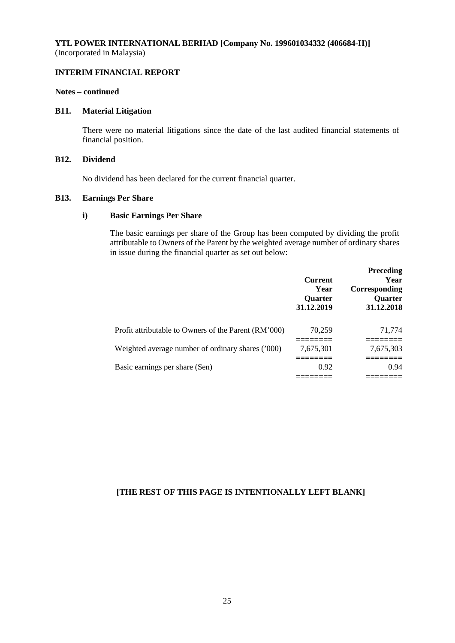## **INTERIM FINANCIAL REPORT**

## **Notes – continued**

#### **B11. Material Litigation**

There were no material litigations since the date of the last audited financial statements of financial position.

## **B12. Dividend**

No dividend has been declared for the current financial quarter.

#### **B13. Earnings Per Share**

### **i) Basic Earnings Per Share**

The basic earnings per share of the Group has been computed by dividing the profit attributable to Owners of the Parent by the weighted average number of ordinary shares in issue during the financial quarter as set out below:

|                                                      | <b>Current</b><br>Year<br><b>Quarter</b><br>31.12.2019 | <b>Preceding</b><br>Year<br>Corresponding<br><b>Ouarter</b><br>31.12.2018 |
|------------------------------------------------------|--------------------------------------------------------|---------------------------------------------------------------------------|
| Profit attributable to Owners of the Parent (RM'000) | 70,259                                                 | 71,774                                                                    |
| Weighted average number of ordinary shares ('000)    | 7,675,301                                              | 7,675,303                                                                 |
| Basic earnings per share (Sen)                       | 0.92                                                   | 0.94                                                                      |
|                                                      |                                                        |                                                                           |

## **[THE REST OF THIS PAGE IS INTENTIONALLY LEFT BLANK]**